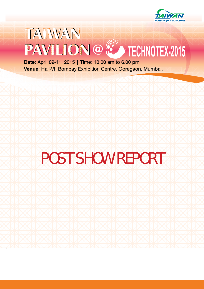

## TAIWAN PAVILION @ CO TECHNOTEX-2015

Date: April 09-11, 2015 | Time: 10.00 am to 6.00 pm Venue: Hall-VI, Bombay Exhibition Centre, Goregaon, Mumbai.

## POST SHOW REPORT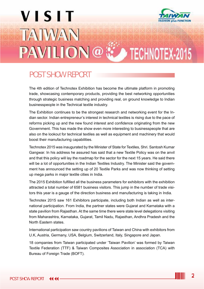# **VISIT** TATWAN PAVILION@ : TECHNOTEX-2015

#### POST SHOW REPORT

The 4th edition of Technotex Exhibition has become the ultimate platform in promoting trade, showcasing contemporary products, providing the best networking opportunities through strategic business matching and providing real, on ground knowledge to Indian businesspeople in the Technical textile industry.

The Exhibition continues to be the strongest research and networking event for the Indian sector. Indian entrepreneur's interest in technical textiles is rising due to the pace of reforms picking up and the new found interest and confidence originating from the new Government. This has made the show even more interesting to businesspeople that are also on the lookout for technical textiles as well as equipment and machinery that would boost their manufacturing capabilities.

Technotex 2015 was inaugurated by the Minister of State for Textiles, Shri. Santosh Kumar Gangwar. In his address he assured has said that a new Textile Policy was on the anvil and that this policy will lay the roadmap for the sector for the next 15 years. He said there will be a lot of opportunities in the Indian Textiles Industry. The Minister said the government has announced the setting up of 20 Textile Parks and was now thinking of setting up mega parks in major textile cities in India.

The 2015 Exhibition fulfilled all the business parameters for exhibitors with the exhibition attracted a total number of 6581 business visitors. This jump in the number of trade visitors this year is a gauge of the direction business and manufacturing is taking in India.

Technotex 2015 saw 161 Exhibitors participate, including both Indian as well as international participation. From India, the partner states were Gujarat and Karnataka with a state pavilion from Rajasthan. At the same time there were state level delegations visiting from Maharashtra, Karnataka, Gujarat, Tamil Nadu, Rajasthan, Andhra Pradesh and the North Eastern states.

International participation saw country pavilions of Taiwan and China with exhibitors from U.K, Austria, Germany, USA, Belgium, Switzerland, Italy, Singapore and Japan.

18 companies from Taiwan participated under 'Taiwan Pavilion' was formed by Taiwan Textile Federation (TTF) & Taiwan Composites Association in association (TCA) with Bureau of Foreign Trade (BOFT).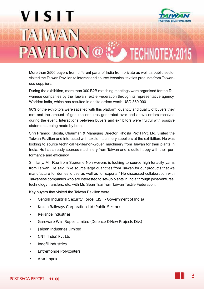## **VISIT** TATWAN PAVILION@ : TECHNOTEX-2015

More than 2500 buyers from different parts of India from private as well as public sector visited the Taiwan Pavilion to interact and source technical textiles products from Taiwanese suppliers.

During the exhibition, more than 300 B2B matching meetings were organised for the Taiwanese companies by the Taiwan Textile Federation through its representative agency, Worldex India, which has resulted in onsite orders worth USD 350,000.

90% of the exhibitors were satisfied with this platform, quantity and quality of buyers they met and the amount of genuine enquires generated over and above orders received during the event. Interactions between buyers and exhibitors were fruitful with positive statements being made by both.

Shri Pramod Khosla, Chairman & Managing Director, Khosla Profil Pvt. Ltd, visited the Taiwan Pavilion and interacted with textile machinery suppliers at the exhibition. He was looking to source technical textile/non-woven machinery from Taiwan for their plants in India. He has already sourced machinery from Taiwan and is quite happy with their performance and efficiency.

Similarly, Mr. Rao from Supreme Non-wovens is looking to source high-tenacity yarns from Taiwan. He said, "We source large quantities from Taiwan for our products that we manufacture for domestic use as well as for exports." He discussed collaboration with Taiwanese companies who are interested to set-up plants in India through joint-ventures, technology transfers, etc. with Mr. Sean Tsai from Taiwan Textile Federation.

Key buyers that visited the Taiwan Pavilion were:

- Central Industrial Security Force (CISF Government of India)
- Kokan Railways Corporation Ltd (Public Sector)
- Reliance Industries
- Gareware-Wall Ropes Limited (Defence & New Projects Div.)
- Jaipan Industries Limited
- CNT (India) Pvt Ltd
- Indofil Industries
- **Entremonde Polycoaters**
- Arar Impex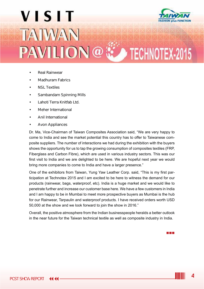

- Real Rainwear
- Madhuram Fabrics
- NSL Textiles
- Sambandam Spinning Mills
- Lahoti Terra Knitfab Ltd.
- Meher International
- Anil International
- Avon Appliances

Dr. Ma, Vice-Chairman of Taiwan Composites Association said, "We are very happy to come to India and see the market potential this country has to offer to Taiwanese composite suppliers. The number of interactions we had during the exhibition with the buyers shows the opportunity for us to tap the growing consumption of composites textiles (FRP, Fiberglass and Carbon Fibre), which are used in various industry sectors. This was our first visit to India and we are delighted to be here. We are hopeful next year we would bring more companies to come to India and have a larger presence."

One of the exhibitors from Taiwan, Yung Yaw Leather Corp. said, "This is my first participation at Technotex 2015 and I am excited to be here to witness the demand for our products (rainwear, bags, waterproof, etc). India is a huge market and we would like to penetrate further and increase our customer base here. We have a few customers in India and I am happy to be in Mumbai to meet more prospective buyers as Mumbai is the hub for our Rainwear, Tarpaulin and waterproof products. I have received orders worth USD 50,000 at the show and we look forward to join the show in 2016."

Overall, the positive atmosphere from the Indian businesspeople heralds a better outlook in the near future for the Taiwan technical textile as well as composite industry in India.

a di Ba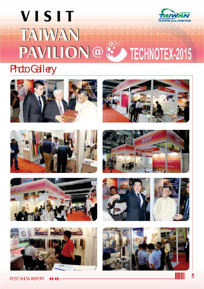## **VISIT ASHION plus FUNCTION** TAIWAN PAVILION@ CONFIDER-2015

#### Photo Gallery











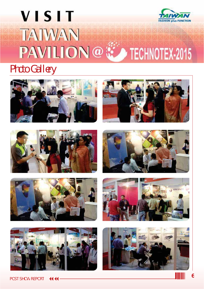### **VISIT ASHION plus FUNCTION** TAIWAN PAVILION@ CONFIDER-2015

#### Photo Gallery